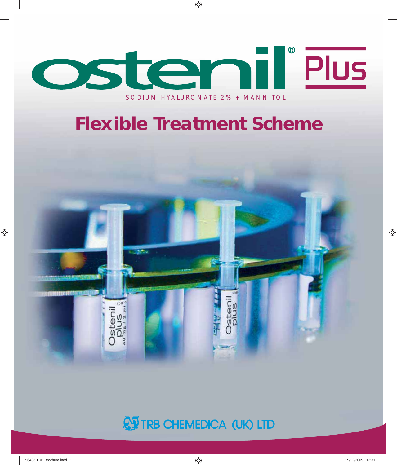

# **AS TRB CHEMEDICA (UK) LTD**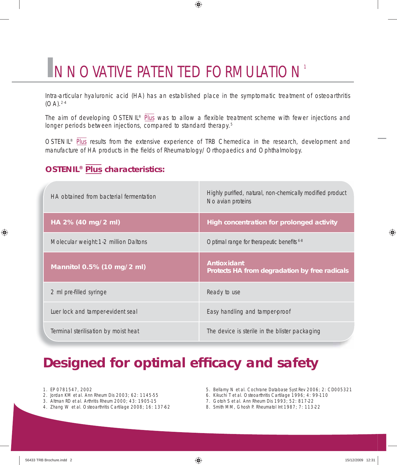# **I**NNOVATIVE PATENTED FORMULATION<sup>1</sup>

Intra-articular hyaluronic acid (HA) has an established place in the symptomatic treatment of osteoarthritis (OA).2-4

◈

The aim of developing OSTENIL®  $\overline{Plus}$  was to allow a flexible treatment scheme with fewer injections and longer periods between injections, compared to standard therapy.<sup>5</sup>

OSTENIL® Plus results from the extensive experience of TRB Chemedica in the research, development and manufacture of HA products in the fields of Rheumatology/Orthopaedics and Ophthalmology.

### **OSTENIL® Plus characteristics:**

| HA obtained from bacterial fermentation | Highly purified, natural, non-chemically modified product<br>No avian proteins |
|-----------------------------------------|--------------------------------------------------------------------------------|
| HA 2% (40 mg/2 ml)                      | High concentration for prolonged activity                                      |
| Molecular weight: 1-2 million Daltons   | Optimal range for therapeutic benefits 6.8                                     |
| Mannitol 0.5% (10 mg/2 ml)              | <b>Antioxidant</b><br>Protects HA from degradation by free radicals            |
| 2 ml pre-filled syringe                 | Ready to use                                                                   |
| Luer lock and tamper-evident seal       | Easy handling and tamper-proof                                                 |
| Terminal sterilisation by moist heat    | The device is sterile in the blister packaging                                 |

# **Designed for optimal efficacy and safety**

- 1. EP 0781547, 2002
- 2. Jordan KM et al. Ann Rheum Dis 2003; 62: 1145-55
- 3. Altman RD et al. Arthritis Rheum 2000; 43: 1905-15
- 4. Zhang W et al. Osteoarthritis Cartilage 2008; 16: 137-62
- 5. Bellamy N et al. Cochrane Database Syst Rev 2006; 2: CD005321
- 6. Kikuchi T et al. Osteoarthritis Cartilage 1996; 4: 99-110
- 7. Gotoh S et al. Ann Rheum Dis 1993; 52: 817-22
- 8. Smith MM, Ghosh P. Rheumatol Int 1987; 7: 113-22

◈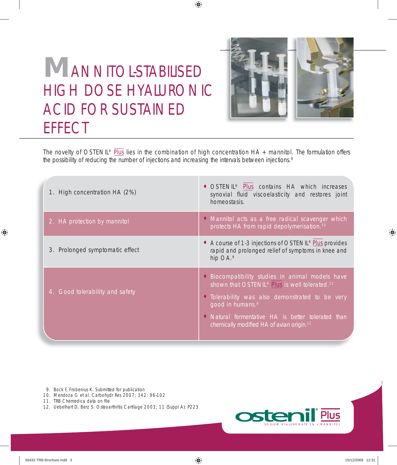

# **M**ANNITOL-STABILISED HIGH DOSE HYALURONIC ACID FOR SUSTAINED **EFFECT**

The novelty of OSTENIL® Plus lies in the combination of high concentration HA + mannitol. The formulation offers the possibility of reducing the number of injections and increasing the intervals between injections.9

◈

| 1. High concentration HA (2%)   | · OSTENIL <sup>®</sup> Plus contains HA which increases<br>synovial fluid viscoelasticity and restores joint<br>homeostasis.                                                                                                                                                                                    |
|---------------------------------|-----------------------------------------------------------------------------------------------------------------------------------------------------------------------------------------------------------------------------------------------------------------------------------------------------------------|
| 2. HA protection by mannitol    | • Mannitol acts as a free radical scavenger which<br>protects HA from rapid depolymerisation. <sup>10</sup>                                                                                                                                                                                                     |
| 3. Prolonged symptomatic effect | • A course of 1-3 injections of OSTENIL <sup>®</sup> Plus provides<br>rapid and prolonged relief of symptoms in knee and<br>hip OA.9                                                                                                                                                                            |
| 4. Good tolerability and safety | • Biocompatibility studies in animal models have<br>shown that OSTENIL® Plus is well tolerated. <sup>11</sup><br>• Tolerability was also demonstrated to be very<br>good in humans. <sup>9</sup><br>• Natural fermentative HA is better tolerated than<br>chemically modified HA of avian origin. <sup>12</sup> |

9. Bock F, Frobenius K. Submitted for publication

- 10. Mendoza G et al. Carbohydr Res 2007; 342: 96-102
- 11. TRB Chemedica data on file
- 12. Uebelhart D, Berz S. Osteoarthritis Cartilage 2003; 11 (Suppl A): P223



◈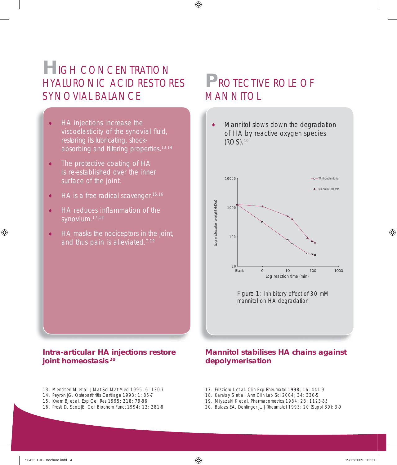## **H**IGH CONCENTRATION HYALURONIC ACID RESTORES SYNOVIAL BALANCE

- HA injections increase the viscoelasticity of the synovial fluid, restoring its lubricating, shock absorbing and filtering properties.<sup>13,14</sup>
- The protective coating of HA is re-established over the inner surface of the joint.
- $\bullet$  HA is a free radical scavenger.<sup>15,16</sup>
- $\bullet$  HA reduces inflammation of the synovium.17,18
- HA masks the nociceptors in the joint, and thus pain is alleviated.7,19

# **P**ROTECTIVE ROLE OF MANNITOL

◈

• Mannitol slows down the degradation of HA by reactive oxygen species (ROS).10



Figure 1: Inhibitory effect of 30 mM mannitol on HA degradation

### **Intra-articular HA injections restore joint homeostasis <sup>20</sup>**

- 13. Mensitieri M et al. J Mat Sci Mat Med 1995; 6: 130-7
- 14. Peyron JG. Osteoarthritis Cartilage 1993; 1: 85-7
- 15. Kvam BJ et al. Exp Cell Res 1995; 218: 79-86
- 16. Presti D, Scott JE. Cell Biochem Funct 1994; 12: 281-8

### **Mannitol stabilises HA chains against depolymerisation**

- 17. Frizziero L et al. Clin Exp Rheumatol 1998; 16: 441-9
- 18. Karatay S et al. Ann Clin Lab Sci 2004; 34: 330-5
- 
- 19. Miyazaki K et al. Pharmacometrics 1984; 28: 1123-35

◈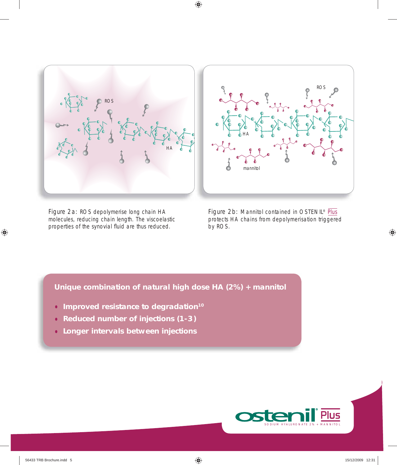

 $\bigoplus$ 

Figure 2a: ROS depolymerise long chain HA molecules, reducing chain length. The viscoelastic properties of the synovial fluid are thus reduced.

Figure 2b: Mannitol contained in OSTENIL® Plus protects HA chains from depolymerisation triggered by ROS.

**Unique combination of natural high dose HA (2%) + mannitol**

- **Improved resistance to degradation10**
- • **Reduced number of injections (1- 3 )**
- **Longer intervals between injections**



 $\bigoplus$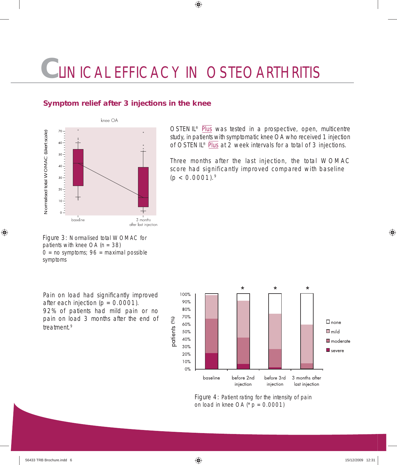# **C**LINICAL EFFICACY IN OSTEOARTHRITIS

 $\bigcirc$ 

### **Symptom relief after 3 injections in the knee**



Figure 3: Normalised total WOMAC for patients with knee  $OA (n = 38)$  $0 = no$  symptoms;  $96 =$  maximal possible symptoms

OSTENIL® Plus was tested in a prospective, open, multicentre study, in patients with symptomatic knee OA who received 1 injection of OSTENIL® Plus at 2 week intervals for a total of 3 injections.

Three months after the last injection, the total WOMAC score had significantly improved compared with baseline  $(p < 0.0001).$ <sup>9</sup>

Pain on load had significantly improved after each injection  $(p = 0.0001)$ . 92% of patients had mild pain or no pain on load 3 months after the end of treatment.9





Figure 4: Patient rating for the intensity of pain on load in knee OA ( $p = 0.0001$ )

⊕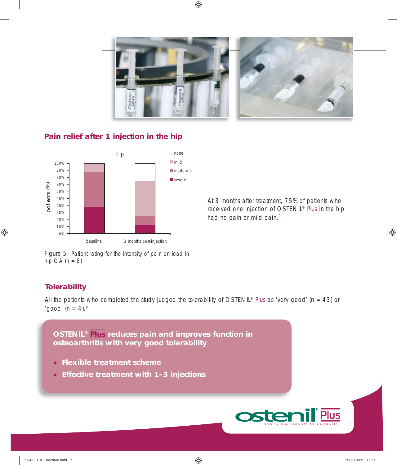

 $\bigcirc$ 

### **Pain relief after 1 injection in the hip**



At 3 months after treatment, 75% of patients who received one injection of OSTENIL® Plus in the hip had no pain or mild pain.<sup>9</sup>

Figure 5: Patient rating for the intensity of pain on load in hip  $OA (n = 8)$ 

### **Tolerability**

◈

All the patients who completed the study judged the tolerability of OSTENIL® Plus as 'very good' (n = 43) or 'good'  $(n = 4)$ . 9

**OSTENIL® Plus reduces pain and improves function in osteoarthritis with very good tolerability**

- **Flexible treatment scheme**
- • **Effective treatment with 1- 3 injections**